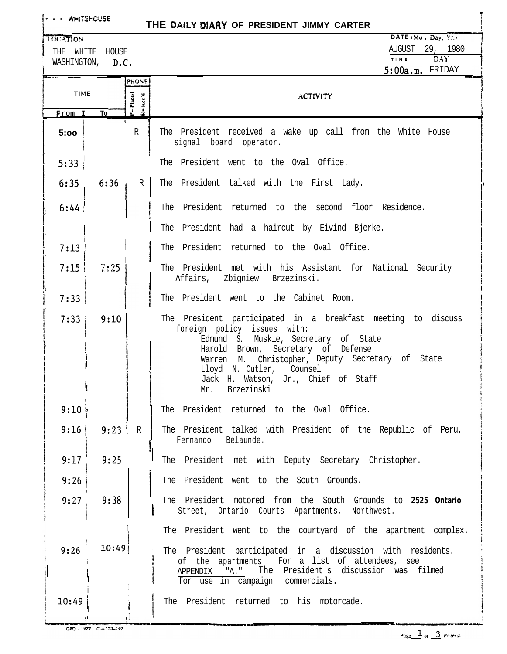| THE WHITEHOUSE<br>THE DAILY DIARY OF PRESIDENT JIMMY CARTER |                                     |              |                                                                                                                                                                                                                                                                                                                       |  |  |  |
|-------------------------------------------------------------|-------------------------------------|--------------|-----------------------------------------------------------------------------------------------------------------------------------------------------------------------------------------------------------------------------------------------------------------------------------------------------------------------|--|--|--|
| <b>LOCATION</b>                                             | THE WHITE HOUSE<br>WASHINGTON, D.C. |              | DATE Mu, Day, Yr.<br>AUGUST 29, 1980<br>DAY.<br>$T + M - E$<br>$5:00a.m.$ FRIDAY                                                                                                                                                                                                                                      |  |  |  |
| PHONE<br><b>TIME</b><br>ु                                   |                                     | $=$ Placed   | <b>ACTIVITY</b>                                                                                                                                                                                                                                                                                                       |  |  |  |
| From I                                                      | To                                  | ึ้           |                                                                                                                                                                                                                                                                                                                       |  |  |  |
| 5:00                                                        |                                     | R            | The President received a wake up call from the White House<br>signal board operator.                                                                                                                                                                                                                                  |  |  |  |
| 5:33                                                        |                                     |              | The President went to the Oval Office.                                                                                                                                                                                                                                                                                |  |  |  |
| 6:35                                                        | 6:36                                | R            | The President talked with the First Lady.                                                                                                                                                                                                                                                                             |  |  |  |
| 6:44                                                        |                                     |              | The President returned to the second floor Residence.                                                                                                                                                                                                                                                                 |  |  |  |
|                                                             |                                     |              | The President had a haircut by Eivind Bjerke.                                                                                                                                                                                                                                                                         |  |  |  |
| 7:13                                                        |                                     |              | The President returned to the Oval Office.                                                                                                                                                                                                                                                                            |  |  |  |
| 7:15:                                                       | 7:25                                |              | The President met with his Assistant for National Security<br>Affairs, Zbigniew Brzezinski.                                                                                                                                                                                                                           |  |  |  |
| 7:33                                                        |                                     |              | The President went to the Cabinet Room.                                                                                                                                                                                                                                                                               |  |  |  |
| 7:33                                                        | 9:10                                |              | The President participated in a breakfast meeting to discuss<br>foreign policy issues with:<br>Edmund S. Muskie, Secretary of State<br>Harold Brown, Secretary of Defense<br>Warren M. Christopher, Deputy Secretary of State<br>Lloyd N. Cutler, Counsel<br>Jack H. Watson, Jr., Chief of Staff<br>Brzezinski<br>Mr. |  |  |  |
| 9:10;                                                       |                                     |              | The President returned to the Oval Office.                                                                                                                                                                                                                                                                            |  |  |  |
| 9:16                                                        | 9:23                                | $\mathbb{R}$ | The President talked with President of the Republic of Peru,<br>Fernando Belaunde.                                                                                                                                                                                                                                    |  |  |  |
| 9:17                                                        | 9:25                                |              | The President met with Deputy Secretary Christopher.                                                                                                                                                                                                                                                                  |  |  |  |
| 9:26                                                        |                                     |              | The President went to the South Grounds.                                                                                                                                                                                                                                                                              |  |  |  |
| 9:27                                                        | 9:38                                |              | The President motored from the South Grounds to 2525 Ontario<br>Street, Ontario Courts Apartments, Northwest.                                                                                                                                                                                                         |  |  |  |
|                                                             |                                     |              | The President went to the courtyard of the apartment complex.                                                                                                                                                                                                                                                         |  |  |  |
| 9:26                                                        | 10:49                               |              | The President participated in a discussion with residents.<br>of the apartments. For a list of attendees, see<br>"A."<br>The President's discussion was filmed<br>APPENDIX<br>for use in campaign commercials.                                                                                                        |  |  |  |
| 10:49                                                       |                                     |              | The President returned to his motorcade.                                                                                                                                                                                                                                                                              |  |  |  |

GPO : 1977 C-223-197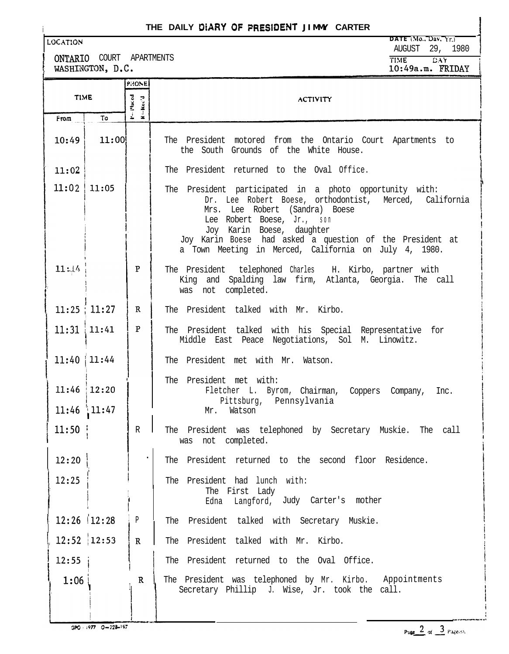## **THE DAILY DIARY OF PRESIDENT JIMMY CARTER**

ONTARIO COURT APARTMENTS<br>WASHINGTON, D.C.

**LOCATION DATE** (Mo., Dav,  $Y_{r}$ ) AUGUST 29, 1980<br>**TIME** DAY **TI!AE wik**

 $10:49a.m.$  FRIDAY

| <b>TIME</b>     |                   | PHONE                          |                                                                                                                                                                                                                                                                                                                                     |
|-----------------|-------------------|--------------------------------|-------------------------------------------------------------------------------------------------------------------------------------------------------------------------------------------------------------------------------------------------------------------------------------------------------------------------------------|
|                 |                   | Placed<br>Rec'd                | <b>ACTIVITY</b>                                                                                                                                                                                                                                                                                                                     |
| From            | To                | $\frac{1}{2}$<br>$\frac{1}{2}$ |                                                                                                                                                                                                                                                                                                                                     |
| 10:49           | 11:00             |                                | The President motored from the Ontario Court Apartments to<br>the South Grounds of the White House.                                                                                                                                                                                                                                 |
| 11:02           |                   |                                | The President returned to the Oval Office.                                                                                                                                                                                                                                                                                          |
| $11:02$   11:05 |                   |                                | The President participated in a photo opportunity with:<br>Dr. Lee Robert Boese, orthodontist, Merced, California<br>Mrs. Lee Robert (Sandra) Boese<br>Lee Robert Boese, Jr., son<br>Joy Karin Boese, daughter<br>Joy Karin Boese had asked a question of the President at<br>a Town Meeting in Merced, California on July 4, 1980. |
| 11:14           |                   | P                              | The President telephoned Charles H. Kirbo, partner with<br>King and Spalding law firm, Atlanta, Georgia. The call<br>was not completed.                                                                                                                                                                                             |
|                 | 11:25:11:27       | R                              | The President talked with Mr. Kirbo.                                                                                                                                                                                                                                                                                                |
|                 | $11:31$ 11:41     | $\mathbf{P}$                   | The President talked with his Special Representative for<br>Middle East Peace Negotiations, Sol M. Linowitz.                                                                                                                                                                                                                        |
| $11:40$   11:44 |                   |                                | The President met with Mr. Watson.                                                                                                                                                                                                                                                                                                  |
|                 | $11:46$ 12:20     |                                | The President met with:<br>Fletcher L. Byrom, Chairman, Coppers Company, Inc.<br>Pittsburg, Pennsylvania                                                                                                                                                                                                                            |
|                 | $11:46$ 11:47     |                                | Mr.<br>Watson                                                                                                                                                                                                                                                                                                                       |
| 11:50           |                   | $\mathbb R$                    | The President was telephoned by Secretary Muskie. The call<br>was not completed.                                                                                                                                                                                                                                                    |
| 12:20           |                   |                                | The President returned to the second floor Residence.                                                                                                                                                                                                                                                                               |
| 12:25           |                   |                                | The President had lunch with:<br>The First Lady<br>Langford, Judy Carter's mother<br>Edna                                                                                                                                                                                                                                           |
|                 | $12:26$   $12:28$ | ${\tt p}$                      | The President talked with Secretary Muskie.                                                                                                                                                                                                                                                                                         |
|                 | $12:52$ 12:53     | $\mathbf R$                    | The President talked with Mr. Kirbo.                                                                                                                                                                                                                                                                                                |
| 12:55           |                   |                                | The President returned to the Oval Office.                                                                                                                                                                                                                                                                                          |
| 1:06            |                   | $\mathbf R$                    | The President was telephoned by Mr. Kirbo. Appointments<br>Secretary Phillip J. Wise, Jr. took the call.                                                                                                                                                                                                                            |

GPG - 1977 0-228-197